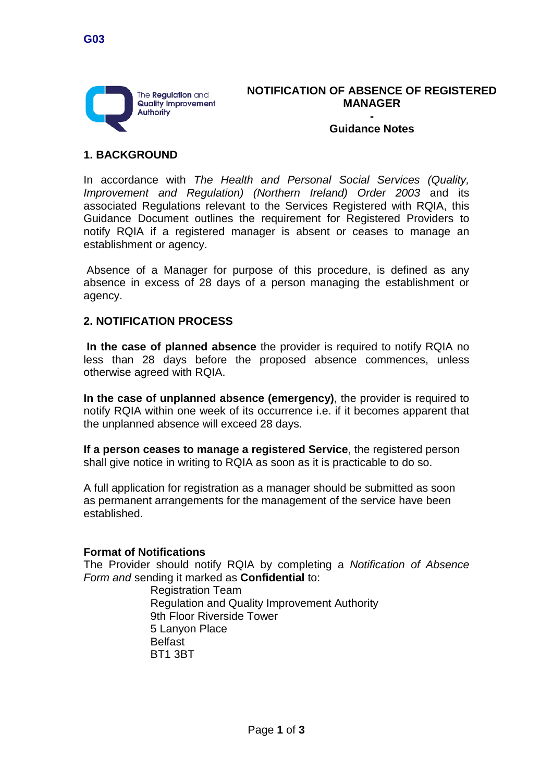

**NOTIFICATION OF ABSENCE OF REGISTERED MANAGER -**

**Guidance Notes**

### **1. BACKGROUND**

In accordance with *The Health and Personal Social Services (Quality, Improvement and Regulation) (Northern Ireland) Order 2003* and its associated Regulations relevant to the Services Registered with RQIA, this Guidance Document outlines the requirement for Registered Providers to notify RQIA if a registered manager is absent or ceases to manage an establishment or agency.

Absence of a Manager for purpose of this procedure, is defined as any absence in excess of 28 days of a person managing the establishment or agency.

#### **2. NOTIFICATION PROCESS**

**In the case of planned absence** the provider is required to notify RQIA no less than 28 days before the proposed absence commences, unless otherwise agreed with RQIA.

**In the case of unplanned absence (emergency)**, the provider is required to notify RQIA within one week of its occurrence i.e. if it becomes apparent that the unplanned absence will exceed 28 days.

**If a person ceases to manage a registered Service**, the registered person shall give notice in writing to RQIA as soon as it is practicable to do so.

A full application for registration as a manager should be submitted as soon as permanent arrangements for the management of the service have been established.

#### **Format of Notifications**

The Provider should notify RQIA by completing a *Notification of Absence Form and* sending it marked as **Confidential** to:

> Registration Team Regulation and Quality Improvement Authority 9th Floor Riverside Tower 5 Lanyon Place Belfast BT1 3BT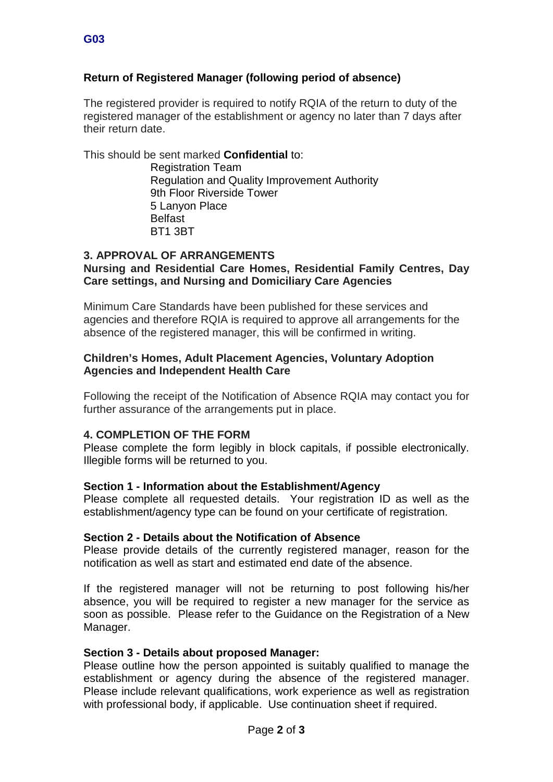# **Return of Registered Manager (following period of absence)**

The registered provider is required to notify RQIA of the return to duty of the registered manager of the establishment or agency no later than 7 days after their return date.

This should be sent marked **Confidential** to:

Registration Team Regulation and Quality Improvement Authority 9th Floor Riverside Tower 5 Lanyon Place Belfast BT1 3BT

# **3. APPROVAL OF ARRANGEMENTS**

### **Nursing and Residential Care Homes, Residential Family Centres, Day Care settings, and Nursing and Domiciliary Care Agencies**

Minimum Care Standards have been published for these services and agencies and therefore RQIA is required to approve all arrangements for the absence of the registered manager, this will be confirmed in writing.

### **Children's Homes, Adult Placement Agencies, Voluntary Adoption Agencies and Independent Health Care**

Following the receipt of the Notification of Absence RQIA may contact you for further assurance of the arrangements put in place.

# **4. COMPLETION OF THE FORM**

Please complete the form legibly in block capitals, if possible electronically. Illegible forms will be returned to you.

### **Section 1 - Information about the Establishment/Agency**

Please complete all requested details. Your registration ID as well as the establishment/agency type can be found on your certificate of registration.

### **Section 2 - Details about the Notification of Absence**

Please provide details of the currently registered manager, reason for the notification as well as start and estimated end date of the absence.

If the registered manager will not be returning to post following his/her absence, you will be required to register a new manager for the service as soon as possible. Please refer to the Guidance on the Registration of a New Manager.

### **Section 3 - Details about proposed Manager:**

Please outline how the person appointed is suitably qualified to manage the establishment or agency during the absence of the registered manager. Please include relevant qualifications, work experience as well as registration with professional body, if applicable. Use continuation sheet if required.